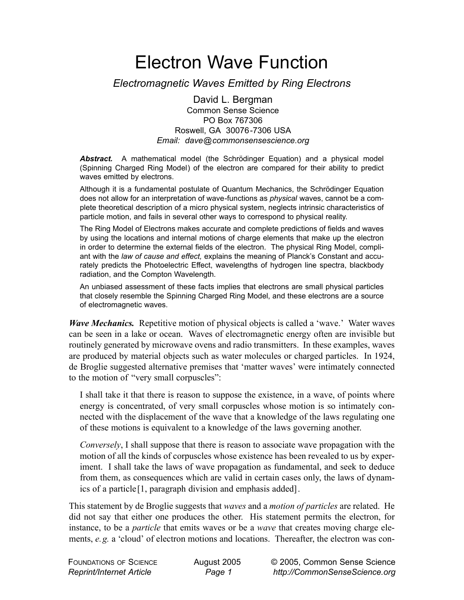# Electron Wave Function

## *Electromagnetic Waves Emitted by Ring Electrons*

David L. Bergman Common Sense Science PO Box 767306 Roswell, GA 30076-7306 USA *Email: dave@commonsensescience.org*

*Abstract.* A mathematical model (the Schrödinger Equation) and a physical model (Spinning Charged Ring Model) of the electron are compared for their ability to predict waves emitted by electrons.

Although it is a fundamental postulate of Quantum Mechanics, the Schrödinger Equation does not allow for an interpretation of wave-functions as *physical* waves, cannot be a complete theoretical description of a micro physical system, neglects intrinsic characteristics of particle motion, and fails in several other ways to correspond to physical reality.

The Ring Model of Electrons makes accurate and complete predictions of fields and waves by using the locations and internal motions of charge elements that make up the electron in order to determine the external fields of the electron. The physical Ring Model, compliant with the *law of cause and effect,* explains the meaning of Planck's Constant and accurately predicts the Photoelectric Effect, wavelengths of hydrogen line spectra, blackbody radiation, and the Compton Wavelength*.* 

An unbiased assessment of these facts implies that electrons are small physical particles that closely resemble the Spinning Charged Ring Model, and these electrons are a source of electromagnetic waves.

*Wave Mechanics.* Repetitive motion of physical objects is called a 'wave.' Water waves can be seen in a lake or ocean. Waves of electromagnetic energy often are invisible but routinely generated by microwave ovens and radio transmitters. In these examples, waves are produced by material objects such as water molecules or charged particles. In 1924, de Broglie suggested alternative premises that 'matter waves' were intimately connected to the motion of "very small corpuscles":

I shall take it that there is reason to suppose the existence, in a wave, of points where energy is concentrated, of very small corpuscles whose motion is so intimately connected with the displacement of the wave that a knowledge of the laws regulating one of these motions is equivalent to a knowledge of the laws governing another.

*Conversely*, I shall suppose that there is reason to associate wave propagation with the motion of all the kinds of corpuscles whose existence has been revealed to us by experiment. I shall take the laws of wave propagation as fundamental, and seek to deduce from them, as consequences which are valid in certain cases only, the laws of dynamics of a particle[1, paragraph division and emphasis added].

This statement by de Broglie suggests that *waves* and a *motion of particles* are related. He did not say that either one produces the other. His statement permits the electron, for instance, to be a *particle* that emits waves or be a *wave* that creates moving charge elements, *e.g.* a 'cloud' of electron motions and locations. Thereafter, the electron was con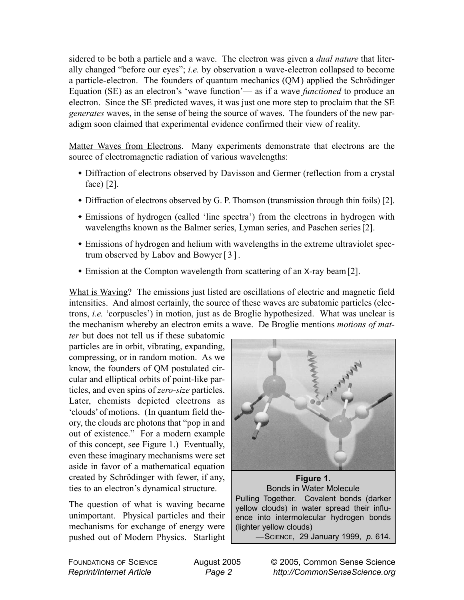sidered to be both a particle and a wave. The electron was given a *dual nature* that literally changed "before our eyes"; *i.e.* by observation a wave-electron collapsed to become a particle-electron. The founders of quantum mechanics (QM) applied the Schrödinger Equation (SE) as an electron's 'wave function'— as if a wave *functioned* to produce an electron. Since the SE predicted waves, it was just one more step to proclaim that the SE *generates* waves, in the sense of being the source of waves. The founders of the new paradigm soon claimed that experimental evidence confirmed their view of reality.

Matter Waves from Electrons. Many experiments demonstrate that electrons are the source of electromagnetic radiation of various wavelengths:

- Diffraction of electrons observed by Davisson and Germer (reflection from a crystal face) [2].
- Diffraction of electrons observed by G. P. Thomson (transmission through thin foils) [2].
- Emissions of hydrogen (called 'line spectra') from the electrons in hydrogen with wavelengths known as the Balmer series, Lyman series, and Paschen series [2].
- Emissions of hydrogen and helium with wavelengths in the extreme ultraviolet spectrum observed by Labov and Bowyer[3].
- Emission at the Compton wavelength from scattering of an X-ray beam [2].

What is Waving? The emissions just listed are oscillations of electric and magnetic field intensities. And almost certainly, the source of these waves are subatomic particles (electrons, *i.e.* 'corpuscles') in motion, just as de Broglie hypothesized. What was unclear is the mechanism whereby an electron emits a wave. De Broglie mentions *motions of mat-*

*ter* but does not tell us if these subatomic particles are in orbit, vibrating, expanding, compressing, or in random motion. As we know, the founders of QM postulated circular and elliptical orbits of point-like particles, and even spins of *zero-size* particles. Later, chemists depicted electrons as 'clouds' of motions. (In quantum field theory, the clouds are photons that "pop in and out of existence." For a modern example of this concept, see Figure 1.) Eventually, even these imaginary mechanisms were set aside in favor of a mathematical equation created by Schrödinger with fewer, if any, ties to an electron's dynamical structure.

The question of what is waving became unimportant. Physical particles and their mechanisms for exchange of energy were pushed out of Modern Physics. Starlight



**Figure 1.** Bonds in Water Molecule Pulling Together. Covalent bonds (darker yellow clouds) in water spread their influence into intermolecular hydrogen bonds (lighter yellow clouds) —SCIENCE, 29 January 1999, *p.* 614.

FOUNDATIONS OF SCIENCE *Reprint/Internet Article*

© 2005, Common Sense Science *http://CommonSenseScience.org*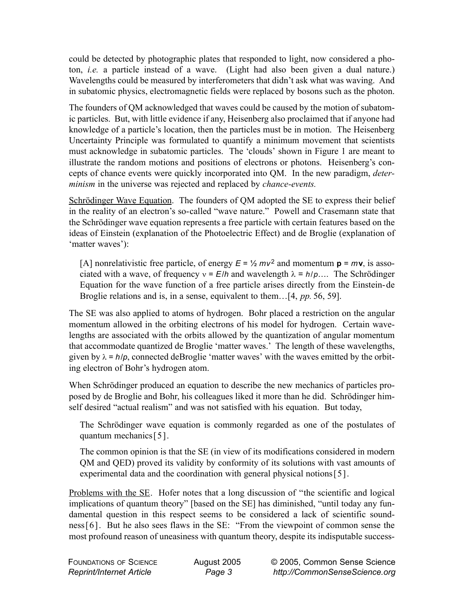could be detected by photographic plates that responded to light, now considered a photon, *i.e.* a particle instead of a wave. (Light had also been given a dual nature.) Wavelengths could be measured by interferometers that didn't ask what was waving. And in subatomic physics, electromagnetic fields were replaced by bosons such as the photon.

The founders of QM acknowledged that waves could be caused by the motion of subatomic particles. But, with little evidence if any, Heisenberg also proclaimed that if anyone had knowledge of a particle's location, then the particles must be in motion. The Heisenberg Uncertainty Principle was formulated to quantify a minimum movement that scientists must acknowledge in subatomic particles. The 'clouds' shown in Figure 1 are meant to illustrate the random motions and positions of electrons or photons. Heisenberg's concepts of chance events were quickly incorporated into QM. In the new paradigm, *determinism* in the universe was rejected and replaced by *chance-events.*

Schrödinger Wave Equation. The founders of QM adopted the SE to express their belief in the reality of an electron's so-called "wave nature." Powell and Crasemann state that the Schrödinger wave equation represents a free particle with certain features based on the ideas of Einstein (explanation of the Photoelectric Effect) and de Broglie (explanation of 'matter waves'):

[A] nonrelativistic free particle, of energy  $E = \frac{1}{2} m v^2$  and momentum  $p = m v$ , is associated with a wave, of frequency  $v = E/h$  and wavelength  $\lambda = h/p...$  The Schrödinger Equation for the wave function of a free particle arises directly from the Einstein-de Broglie relations and is, in a sense, equivalent to them…[4, *pp.* 56, 59].

The SE was also applied to atoms of hydrogen. Bohr placed a restriction on the angular momentum allowed in the orbiting electrons of his model for hydrogen. Certain wavelengths are associated with the orbits allowed by the quantization of angular momentum that accommodate quantized de Broglie 'matter waves.' The length of these wavelengths, given by  $\lambda = h/p$ , connected deBroglie 'matter waves' with the waves emitted by the orbiting electron of Bohr's hydrogen atom.

When Schrödinger produced an equation to describe the new mechanics of particles proposed by de Broglie and Bohr, his colleagues liked it more than he did. Schrödinger himself desired "actual realism" and was not satisfied with his equation. But today,

The Schrödinger wave equation is commonly regarded as one of the postulates of quantum mechanics[5].

The common opinion is that the SE (in view of its modifications considered in modern QM and QED) proved its validity by conformity of its solutions with vast amounts of experimental data and the coordination with general physical notions[5].

Problems with the SE. Hofer notes that a long discussion of "the scientific and logical implications of quantum theory" [based on the SE] has diminished, "until today any fundamental question in this respect seems to be considered a lack of scientific soundness[6]. But he also sees flaws in the SE: "From the viewpoint of common sense the most profound reason of uneasiness with quantum theory, despite its indisputable success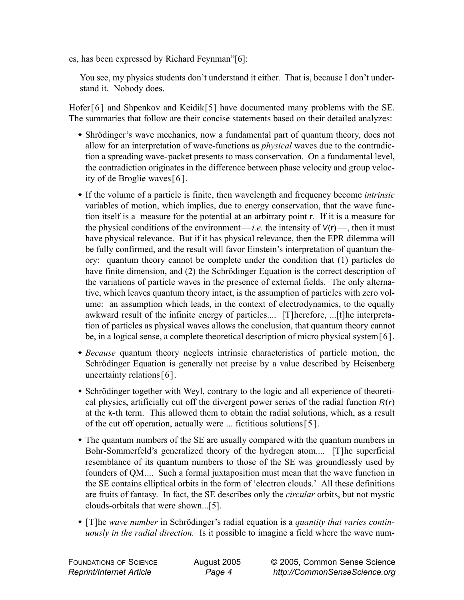es, has been expressed by Richard Feynman"[6]:

You see, my physics students don't understand it either. That is, because I don't understand it. Nobody does.

Hofer[6] and Shpenkov and Keidik[5] have documented many problems with the SE. The summaries that follow are their concise statements based on their detailed analyzes:

- Shrödinger's wave mechanics, now a fundamental part of quantum theory, does not allow for an interpretation of wave-functions as *physical* waves due to the contradiction a spreading wave-packet presents to mass conservation. On a fundamental level, the contradiction originates in the difference between phase velocity and group velocity of de Broglie waves[6].
- If the volume of a particle is finite, then wavelength and frequency become *intrinsic* variables of motion, which implies, due to energy conservation, that the wave function itself is a measure for the potential at an arbitrary point **r**. If it is a measure for the physical conditions of the environment—*i.e.* the intensity of  $V(r)$ —, then it must have physical relevance. But if it has physical relevance, then the EPR dilemma will be fully confirmed, and the result will favor Einstein's interpretation of quantum theory: quantum theory cannot be complete under the condition that (1) particles do have finite dimension, and (2) the Schrödinger Equation is the correct description of the variations of particle waves in the presence of external fields. The only alternative, which leaves quantum theory intact, is the assumption of particles with zero volume: an assumption which leads, in the context of electrodynamics, to the equally awkward result of the infinite energy of particles.... [T]herefore, ...[t]he interpretation of particles as physical waves allows the conclusion, that quantum theory cannot be, in a logical sense, a complete theoretical description of micro physical system[6].
- *Because* quantum theory neglects intrinsic characteristics of particle motion, the Schrödinger Equation is generally not precise by a value described by Heisenberg uncertainty relations [6].
- Schrödinger together with Weyl, contrary to the logic and all experience of theoretical physics, artificially cut off the divergent power series of the radial function *R*(*r*) at the k-th term. This allowed them to obtain the radial solutions, which, as a result of the cut off operation, actually were ... fictitious solutions[5].
- The quantum numbers of the SE are usually compared with the quantum numbers in Bohr-Sommerfeld's generalized theory of the hydrogen atom.... [T]he superficial resemblance of its quantum numbers to those of the SE was groundlessly used by founders of QM.... Such a formal juxtaposition must mean that the wave function in the SE contains elliptical orbits in the form of 'electron clouds.' All these definitions are fruits of fantasy. In fact, the SE describes only the *circular* orbits, but not mystic clouds-orbitals that were shown...[5].
- [T]he *wave number* in Schrödinger's radial equation is a *quantity that varies continuously in the radial direction.* Is it possible to imagine a field where the wave num-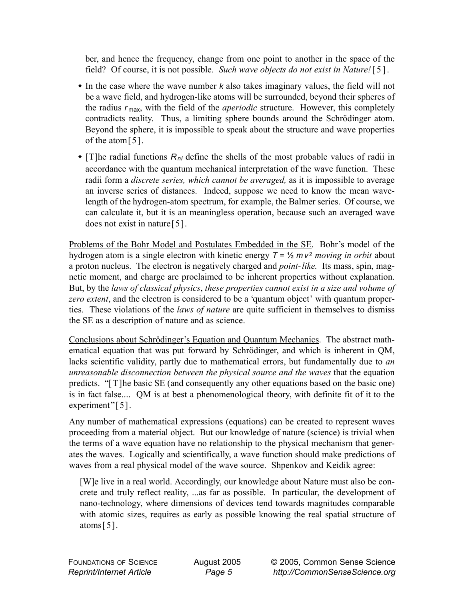ber, and hence the frequency, change from one point to another in the space of the field? Of course, it is not possible. *Such wave objects do not exist in Nature!*[5].

- In the case where the wave number *k* also takes imaginary values, the field will not be a wave field, and hydrogen-like atoms will be surrounded, beyond their spheres of the radius *r* max, with the field of the *aperiodic* structure. However, this completely contradicts reality. Thus, a limiting sphere bounds around the Schrödinger atom. Beyond the sphere, it is impossible to speak about the structure and wave properties of the atom[5].
- $\bullet$  [T]he radial functions  $R_{nl}$  define the shells of the most probable values of radii in accordance with the quantum mechanical interpretation of the wave function. These radii form a *discrete series, which cannot be averaged,* as it is impossible to average an inverse series of distances. Indeed, suppose we need to know the mean wavelength of the hydrogen-atom spectrum, for example, the Balmer series. Of course, we can calculate it, but it is an meaningless operation, because such an averaged wave does not exist in nature[5].

Problems of the Bohr Model and Postulates Embedded in the SE. Bohr's model of the hydrogen atom is a single electron with kinetic energy  $T = \frac{1}{2} m v^2$  *moving in orbit* about a proton nucleus. The electron is negatively charged and *point-like.* Its mass, spin, magnetic moment, and charge are proclaimed to be inherent properties without explanation. But, by the *laws of classical physics*, *these properties cannot exist in a size and volume of zero extent*, and the electron is considered to be a 'quantum object' with quantum properties. These violations of the *laws of nature* are quite sufficient in themselves to dismiss the SE as a description of nature and as science.

Conclusions about Schrödinger's Equation and Quantum Mechanics. The abstract mathematical equation that was put forward by Schrödinger, and which is inherent in QM, lacks scientific validity, partly due to mathematical errors, but fundamentally due to *an unreasonable disconnection between the physical source and the waves* that the equation predicts. "[T]he basic SE (and consequently any other equations based on the basic one) is in fact false.... QM is at best a phenomenological theory, with definite fit of it to the experiment"[5].

Any number of mathematical expressions (equations) can be created to represent waves proceeding from a material object. But our knowledge of nature (science) is trivial when the terms of a wave equation have no relationship to the physical mechanism that generates the waves. Logically and scientifically, a wave function should make predictions of waves from a real physical model of the wave source. Shpenkov and Keidik agree:

[W]e live in a real world. Accordingly, our knowledge about Nature must also be concrete and truly reflect reality, ...as far as possible. In particular, the development of nano-technology, where dimensions of devices tend towards magnitudes comparable with atomic sizes, requires as early as possible knowing the real spatial structure of atoms  $[5]$ .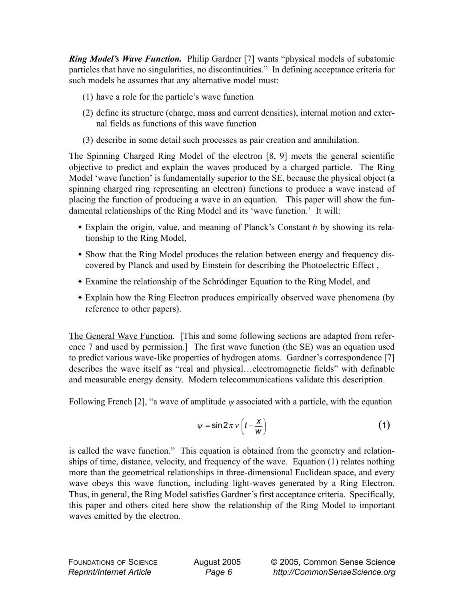*Ring Model's Wave Function.* Philip Gardner [7] wants "physical models of subatomic particles that have no singularities, no discontinuities." In defining acceptance criteria for such models he assumes that any alternative model must:

- (1) have a role for the particle's wave function
- (2) define its structure (charge, mass and current densities), internal motion and external fields as functions of this wave function
- (3) describe in some detail such processes as pair creation and annihilation.

The Spinning Charged Ring Model of the electron [8, 9] meets the general scientific objective to predict and explain the waves produced by a charged particle. The Ring Model 'wave function' is fundamentally superior to the SE, because the physical object (a spinning charged ring representing an electron) functions to produce a wave instead of placing the function of producing a wave in an equation. This paper will show the fundamental relationships of the Ring Model and its 'wave function.' It will:

- Explain the origin, value, and meaning of Planck's Constant *h* by showing its relationship to the Ring Model,
- Show that the Ring Model produces the relation between energy and frequency discovered by Planck and used by Einstein for describing the Photoelectric Effect ,
- Examine the relationship of the Schrödinger Equation to the Ring Model, and
- Explain how the Ring Electron produces empirically observed wave phenomena (by reference to other papers).

The General Wave Function. [This and some following sections are adapted from reference 7 and used by permission.] The first wave function (the SE) was an equation used to predict various wave-like properties of hydrogen atoms. Gardner's correspondence [7] describes the wave itself as "real and physical…electromagnetic fields" with definable and measurable energy density. Modern telecommunications validate this description.

Following French [2], "a wave of amplitude  $\psi$  associated with a particle, with the equation

$$
\psi = \sin 2\pi \nu \left( t - \frac{x}{w} \right) \tag{1}
$$

is called the wave function." This equation is obtained from the geometry and relationships of time, distance, velocity, and frequency of the wave. Equation (1) relates nothing more than the geometrical relationships in three-dimensional Euclidean space, and every wave obeys this wave function, including light-waves generated by a Ring Electron. Thus, in general, the Ring Model satisfies Gardner's first acceptance criteria. Specifically, this paper and others cited here show the relationship of the Ring Model to important waves emitted by the electron.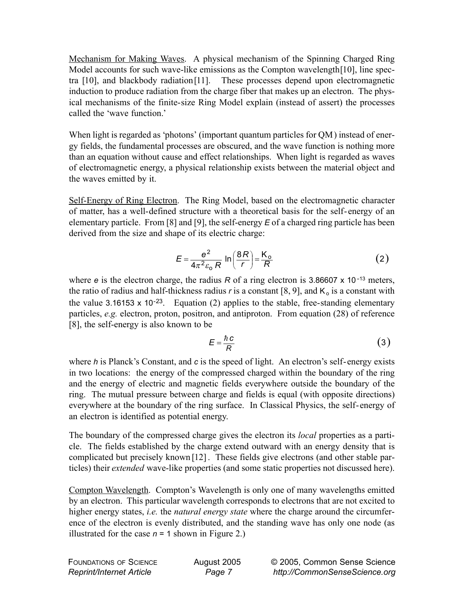Mechanism for Making Waves. A physical mechanism of the Spinning Charged Ring Model accounts for such wave-like emissions as the Compton wavelength[10], line spectra [10], and blackbody radiation[11]. These processes depend upon electromagnetic induction to produce radiation from the charge fiber that makes up an electron. The physical mechanisms of the finite-size Ring Model explain (instead of assert) the processes called the 'wave function.'

When light is regarded as 'photons' (important quantum particles for QM) instead of energy fields, the fundamental processes are obscured, and the wave function is nothing more than an equation without cause and effect relationships. When light is regarded as waves of electromagnetic energy, a physical relationship exists between the material object and the waves emitted by it.

Self-Energy of Ring Electron. The Ring Model, based on the electromagnetic character of matter, has a well-defined structure with a theoretical basis for the self-energy of an elementary particle. From [8] and [9], the self-energy *E* of a charged ring particle has been derived from the size and shape of its electric charge:

$$
E = \frac{e^2}{4\pi^2 \varepsilon_0 R} \ln\left(\frac{8R}{r}\right) = \frac{K_0}{R}
$$
 (2)

where *e* is the electron charge, the radius *R* of a ring electron is 3.86607 x 10<sup>-13</sup> meters, the ratio of radius and half-thickness radius  $r$  is a constant [8, 9], and  $K_0$  is a constant with the value 3.16153 x 10<sup>-23</sup>. Equation (2) applies to the stable, free-standing elementary particles, *e.g.* electron, proton, positron, and antiproton. From equation (28) of reference [8], the self-energy is also known to be

$$
E = \frac{\hbar c}{R} \tag{3}
$$

where *h* is Planck's Constant, and *c* is the speed of light. An electron's self-energy exists in two locations: the energy of the compressed charged within the boundary of the ring and the energy of electric and magnetic fields everywhere outside the boundary of the ring. The mutual pressure between charge and fields is equal (with opposite directions) everywhere at the boundary of the ring surface. In Classical Physics, the self-energy of an electron is identified as potential energy.

The boundary of the compressed charge gives the electron its *local* properties as a particle. The fields established by the charge extend outward with an energy density that is complicated but precisely known [12] . These fields give electrons (and other stable particles) their *extended* wave-like properties (and some static properties not discussed here).

Compton Wavelength. Compton's Wavelength is only one of many wavelengths emitted by an electron. This particular wavelength corresponds to electrons that are not excited to higher energy states, *i.e.* the *natural energy state* where the charge around the circumference of the electron is evenly distributed, and the standing wave has only one node (as illustrated for the case  $n = 1$  shown in Figure 2.)

| <b>FOUNDATIONS OF SCIENCE</b>   | August 2005 | © 2005, Common Sense Science  |
|---------------------------------|-------------|-------------------------------|
| <b>Reprint/Internet Article</b> | Page 7      | http://CommonSenseScience.org |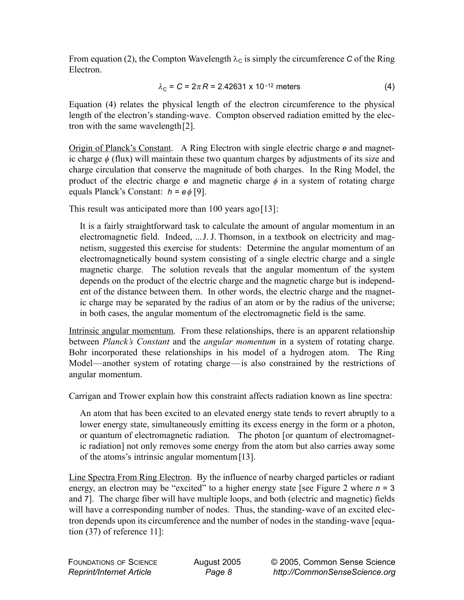From equation (2), the Compton Wavelength  $\lambda_c$  is simply the circumference *C* of the Ring Electron.

$$
\lambda_{\rm C} = C = 2\pi R = 2.42631 \times 10^{-12} \text{ meters}
$$
 (4)

Equation (4) relates the physical length of the electron circumference to the physical length of the electron's standing-wave. Compton observed radiation emitted by the electron with the same wavelength[2].

Origin of Planck's Constant. A Ring Electron with single electric charge *e* and magnetic charge  $\phi$  (flux) will maintain these two quantum charges by adjustments of its size and charge circulation that conserve the magnitude of both charges. In the Ring Model, the product of the electric charge  $e$  and magnetic charge  $\phi$  in a system of rotating charge equals Planck's Constant: *h = e*φ [9].

This result was anticipated more than  $100$  years ago [13]:

It is a fairly straightforward task to calculate the amount of angular momentum in an electromagnetic field. Indeed, ...J. J. Thomson, in a textbook on electricity and magnetism, suggested this exercise for students: Determine the angular momentum of an electromagnetically bound system consisting of a single electric charge and a single magnetic charge. The solution reveals that the angular momentum of the system depends on the product of the electric charge and the magnetic charge but is independent of the distance between them. In other words, the electric charge and the magnetic charge may be separated by the radius of an atom or by the radius of the universe; in both cases, the angular momentum of the electromagnetic field is the same.

Intrinsic angular momentum. From these relationships, there is an apparent relationship between *Planck's Constant* and the *angular momentum* in a system of rotating charge. Bohr incorporated these relationships in his model of a hydrogen atom. The Ring Model—another system of rotating charge—is also constrained by the restrictions of angular momentum.

Carrigan and Trower explain how this constraint affects radiation known as line spectra:

An atom that has been excited to an elevated energy state tends to revert abruptly to a lower energy state, simultaneously emitting its excess energy in the form or a photon, or quantum of electromagnetic radiation. The photon [or quantum of electromagnetic radiation] not only removes some energy from the atom but also carries away some of the atoms's intrinsic angular momentum [13].

Line Spectra From Ring Electron. By the influence of nearby charged particles or radiant energy, an electron may be "excited" to a higher energy state [see Figure 2 where *n* = 3 and 7]. The charge fiber will have multiple loops, and both (electric and magnetic) fields will have a corresponding number of nodes. Thus, the standing-wave of an excited electron depends upon its circumference and the number of nodes in the standing-wave [equation (37) of reference 11]: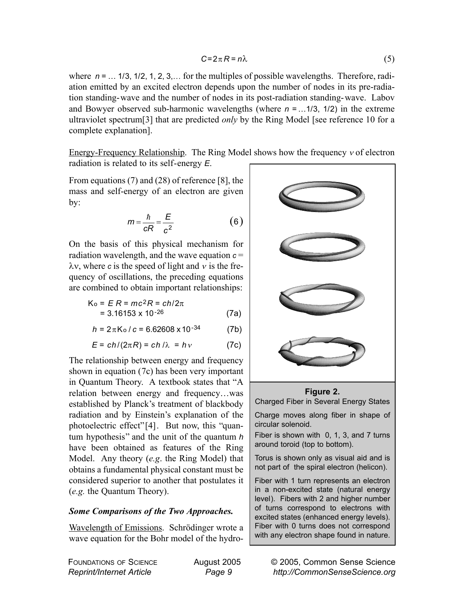$$
C = 2\pi R = n\lambda \tag{5}
$$

where  $n = ... 1/3, 1/2, 1, 2, 3, ...$  for the multiples of possible wavelengths. Therefore, radiation emitted by an excited electron depends upon the number of nodes in its pre-radiation standing-wave and the number of nodes in its post-radiation standing-wave. Labov and Bowyer observed sub-harmonic wavelengths (where *n* = …1/3, 1/2) in the extreme ultraviolet spectrum[3] that are predicted *only* by the Ring Model [see reference 10 for a complete explanation].

Energy-Frequency Relationship. The Ring Model shows how the frequency <sup>ν</sup> of electron radiation is related to its self-energy *E*.

From equations (7) and (28) of reference [8], the mass and self-energy of an electron are given by:

$$
m = \frac{\hbar}{cR} = \frac{E}{c^2}
$$
 (6)

On the basis of this physical mechanism for radiation wavelength, and the wave equation  $c =$  $λv$ , where *c* is the speed of light and *v* is the frequency of oscillations, the preceding equations are combined to obtain important relationships:

$$
K_0 = E R = mc^2 R = ch/2\pi
$$
  
= 3.16153 x 10<sup>-26</sup> (7a)

$$
h = 2\pi K_0 / c = 6.62608 \times 10^{-34}
$$
 (7b)

$$
E = ch/(2\pi R) = ch/\lambda = h\nu
$$
 (7c)

The relationship between energy and frequency shown in equation (7c) has been very important in Quantum Theory. A textbook states that "A relation between energy and frequency…was established by Planck's treatment of blackbody radiation and by Einstein's explanation of the photoelectric effect"[4]. But now, this "quantum hypothesis" and the unit of the quantum *h* have been obtained as features of the Ring Model. Any theory (*e.g*. the Ring Model) that obtains a fundamental physical constant must be considered superior to another that postulates it (*e.g.* the Quantum Theory).

#### *Some Comparisons of the Two Approaches.*

Wavelength of Emissions. Schrödinger wrote a wave equation for the Bohr model of the hydro-

FOUNDATIONS OF SCIENCE *Reprint/Internet Article*



#### **Figure 2.**

Charged Fiber in Several Energy States

Charge moves along fiber in shape of circular solenoid.

Fiber is shown with 0, 1, 3, and 7 turns around toroid (top to bottom).

Torus is shown only as visual aid and is not part of the spiral electron (helicon).

Fiber with 1 turn represents an electron in a non-excited state (natural energy level). Fibers with 2 and higher number of turns correspond to electrons with excited states (enhanced energy levels). Fiber with 0 turns does not correspond with any electron shape found in nature.

> © 2005, Common Sense Science *http://CommonSenseScience.org*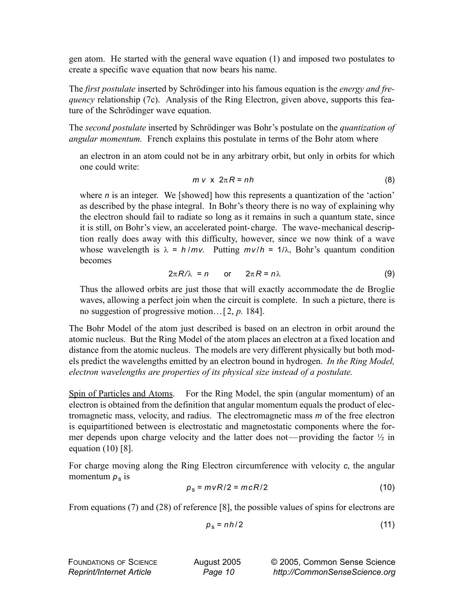gen atom. He started with the general wave equation (1) and imposed two postulates to create a specific wave equation that now bears his name.

The *first postulate* inserted by Schrödinger into his famous equation is the *energy and frequency* relationship (7c). Analysis of the Ring Electron, given above, supports this feature of the Schrödinger wave equation.

The *second postulate* inserted by Schrödinger was Bohr's postulate on the *quantization of angular momentum.* French explains this postulate in terms of the Bohr atom where

an electron in an atom could not be in any arbitrary orbit, but only in orbits for which one could write:

$$
m \vee x \ 2\pi R = nh \tag{8}
$$

where *n* is an integer. We [showed] how this represents a quantization of the 'action' as described by the phase integral. In Bohr's theory there is no way of explaining why the electron should fail to radiate so long as it remains in such a quantum state, since it is still, on Bohr's view, an accelerated point-charge. The wave-mechanical description really does away with this difficulty, however, since we now think of a wave whose wavelength is  $\lambda = h/mv$ . Putting  $mv/h = 1/\lambda$ , Bohr's quantum condition becomes

$$
2\pi R/\lambda = n \quad \text{or} \quad 2\pi R = n\lambda \tag{9}
$$

Thus the allowed orbits are just those that will exactly accommodate the de Broglie waves, allowing a perfect join when the circuit is complete. In such a picture, there is no suggestion of progressive motion…[2, *p.* 184].

The Bohr Model of the atom just described is based on an electron in orbit around the atomic nucleus. But the Ring Model of the atom places an electron at a fixed location and distance from the atomic nucleus. The models are very different physically but both models predict the wavelengths emitted by an electron bound in hydrogen. *In the Ring Model, electron wavelengths are properties of its physical size instead of a postulate.* 

Spin of Particles and Atoms. For the Ring Model, the spin (angular momentum) of an electron is obtained from the definition that angular momentum equals the product of electromagnetic mass, velocity, and radius. The electromagnetic mass *m* of the free electron is equipartitioned between is electrostatic and magnetostatic components where the former depends upon charge velocity and the latter does not—providing the factor ½ in equation  $(10)$   $[8]$ .

For charge moving along the Ring Electron circumference with velocity *c*, the angular momentum  $p_s$  is

$$
p_s = m\,vR/2 = mcR/2\tag{10}
$$

From equations (7) and (28) of reference [8], the possible values of spins for electrons are

$$
p_s = nh/2 \tag{11}
$$

| <b>FOUNDATIONS OF SCIENCE</b>   | August 2005 | © 2005, Common Sense Science  |
|---------------------------------|-------------|-------------------------------|
| <b>Reprint/Internet Article</b> | Page 10     | http://CommonSenseScience.org |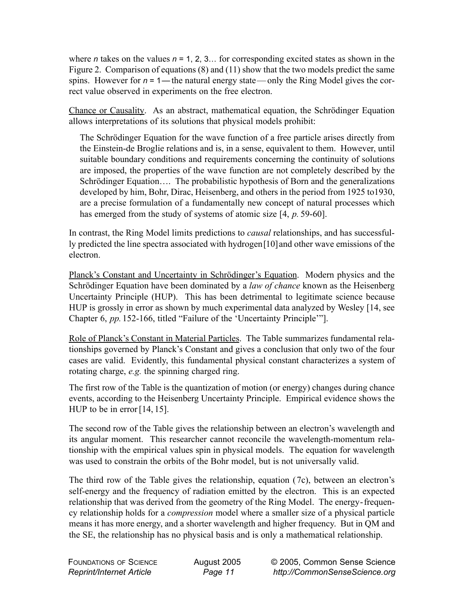where *n* takes on the values  $n = 1, 2, 3...$  for corresponding excited states as shown in the Figure 2. Comparison of equations (8) and (11) show that the two models predict the same spins. However for  $n = 1$ —the natural energy state—only the Ring Model gives the correct value observed in experiments on the free electron.

Chance or Causality. As an abstract, mathematical equation, the Schrödinger Equation allows interpretations of its solutions that physical models prohibit:

The Schrödinger Equation for the wave function of a free particle arises directly from the Einstein-de Broglie relations and is, in a sense, equivalent to them. However, until suitable boundary conditions and requirements concerning the continuity of solutions are imposed, the properties of the wave function are not completely described by the Schrödinger Equation…. The probabilistic hypothesis of Born and the generalizations developed by him, Bohr, Dirac, Heisenberg, and others in the period from 1925 to1930, are a precise formulation of a fundamentally new concept of natural processes which has emerged from the study of systems of atomic size [4, *p.* 59-60].

In contrast, the Ring Model limits predictions to *causal* relationships, and has successfully predicted the line spectra associated with hydrogen[10]and other wave emissions of the electron.

Planck's Constant and Uncertainty in Schrödinger's Equation. Modern physics and the Schrödinger Equation have been dominated by a *law of chance* known as the Heisenberg Uncertainty Principle (HUP). This has been detrimental to legitimate science because HUP is grossly in error as shown by much experimental data analyzed by Wesley [14, see Chapter 6, *pp.*152-166, titled "Failure of the 'Uncertainty Principle'"].

Role of Planck's Constant in Material Particles. The Table summarizes fundamental relationships governed by Planck's Constant and gives a conclusion that only two of the four cases are valid. Evidently, this fundamental physical constant characterizes a system of rotating charge, *e.g.* the spinning charged ring.

The first row of the Table is the quantization of motion (or energy) changes during chance events, according to the Heisenberg Uncertainty Principle. Empirical evidence shows the HUP to be in error [14, 15].

The second row of the Table gives the relationship between an electron's wavelength and its angular moment. This researcher cannot reconcile the wavelength-momentum relationship with the empirical values spin in physical models. The equation for wavelength was used to constrain the orbits of the Bohr model, but is not universally valid.

The third row of the Table gives the relationship, equation (7c), between an electron's self-energy and the frequency of radiation emitted by the electron. This is an expected relationship that was derived from the geometry of the Ring Model. The energy-frequency relationship holds for a *compression* model where a smaller size of a physical particle means it has more energy, and a shorter wavelength and higher frequency. But in QM and the SE, the relationship has no physical basis and is only a mathematical relationship.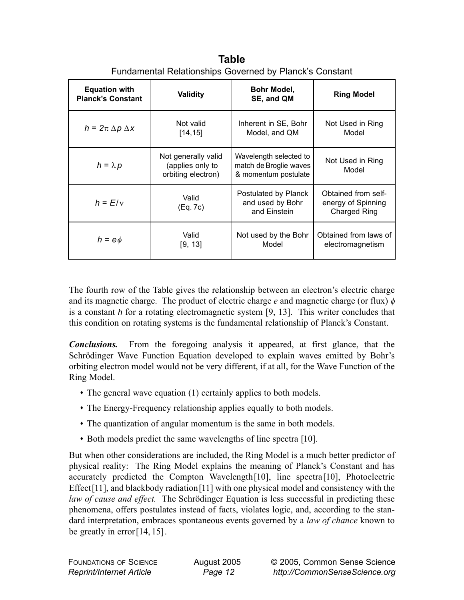| <b>Equation with</b><br><b>Planck's Constant</b> | Validity                                                      | Bohr Model,<br>SE, and QM                                                | <b>Ring Model</b>                                                |
|--------------------------------------------------|---------------------------------------------------------------|--------------------------------------------------------------------------|------------------------------------------------------------------|
| $h = 2\pi \Delta p \Delta x$                     | Not valid<br>[14, 15]                                         | Inherent in SE, Bohr<br>Model, and QM                                    | Not Used in Ring<br>Model                                        |
| $h = \lambda p$                                  | Not generally valid<br>(applies only to<br>orbiting electron) | Wavelength selected to<br>match de Broglie waves<br>& momentum postulate | Not Used in Ring<br>Model                                        |
| $h = E/v$                                        | Valid<br>(Eq. 7c)                                             | Postulated by Planck<br>and used by Bohr<br>and Einstein                 | Obtained from self-<br>energy of Spinning<br><b>Charged Ring</b> |
| $h = e\phi$                                      | Valid<br>[9, 13]                                              | Not used by the Bohr<br>Model                                            | Obtained from laws of<br>electromagnetism                        |

**Table** Fundamental Relationships Governed by Planck's Constant

The fourth row of the Table gives the relationship between an electron's electric charge and its magnetic charge. The product of electric charge *e* and magnetic charge (or flux) φ is a constant *h* for a rotating electromagnetic system [9, 13]. This writer concludes that this condition on rotating systems is the fundamental relationship of Planck's Constant.

*Conclusions.* From the foregoing analysis it appeared, at first glance, that the Schrödinger Wave Function Equation developed to explain waves emitted by Bohr's orbiting electron model would not be very different, if at all, for the Wave Function of the Ring Model.

- The general wave equation (1) certainly applies to both models.
- The Energy-Frequency relationship applies equally to both models.
- The quantization of angular momentum is the same in both models.
- Both models predict the same wavelengths of line spectra [10].

But when other considerations are included, the Ring Model is a much better predictor of physical reality: The Ring Model explains the meaning of Planck's Constant and has accurately predicted the Compton Wavelength[10], line spectra[10], Photoelectric Effect<sup>[11]</sup>, and blackbody radiation<sup>[11]</sup> with one physical model and consistency with the *law of cause and effect.* The Schrödinger Equation is less successful in predicting these phenomena, offers postulates instead of facts, violates logic, and, according to the standard interpretation, embraces spontaneous events governed by a *law of chance* known to be greatly in error[14, 15].